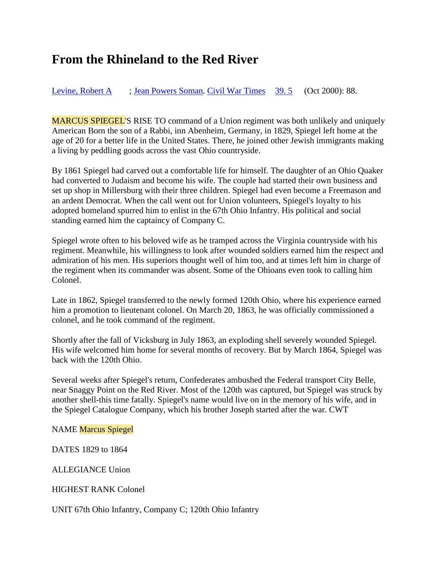## **From the Rhineland to the Red River**

[Levine, Robert A](http://search.proquest.com.proxy2.ulib.iupui.edu/docview.lateralsearchlink:lateralsearch/sng/author/Levine,+Robert+A/$N?t:ac=199126062/Record/136D1A23D31685D9AF1/4&t:cp=maintain/resultcitationblocks) [;](http://search.proquest.com.proxy2.ulib.iupui.edu/docview/199126062/136D1A23D31685D9AF1/4?accountid=7398) [Jean Powers Soman.](http://search.proquest.com.proxy2.ulib.iupui.edu/docview.lateralsearchlink:lateralsearch/sng/author/Jean+Powers+Soman/$N?t:ac=199126062/Record/136D1A23D31685D9AF1/4&t:cp=maintain/resultcitationblocks) [Civil War Times](http://search.proquest.com.proxy2.ulib.iupui.edu/docview.lateralsearchlinkbypubid:lateralsearch/sng/pubtitle/Civil+War+Times/$N/39717?t:ac=199126062/Record/136D1A23D31685D9AF1/4&t:cp=maintain/resultcitationblocks) [39.](http://search.proquest.com.proxy2.ulib.iupui.edu/docview.lateralsearchlinkbypubid:lateralsearch/sng/pubtitle/Civil+War+Times/$N/39717?t:ac=199126062/Record/136D1A23D31685D9AF1/4&t:cp=maintain/resultcitationblocks)5 (Oct 2000): 88.

MARCUS SPIEGEL'S RISE TO command of a Union regiment was both unlikely and uniquely American Born the son of a Rabbi, inn Abenheim, Germany, in 1829, Spiegel left home at the age of 20 for a better life in the United States. There, he joined other Jewish immigrants making a living by peddling goods across the vast Ohio countryside.

By 1861 Spiegel had carved out a comfortable life for himself. The daughter of an Ohio Quaker had converted to Judaism and become his wife. The couple had started their own business and set up shop in Millersburg with their three children. Spiegel had even become a Freemason and an ardent Democrat. When the call went out for Union volunteers, Spiegel's loyalty to his adopted homeland spurred him to enlist in the 67th Ohio Infantry. His political and social standing earned him the captaincy of Company C.

Spiegel wrote often to his beloved wife as he tramped across the Virginia countryside with his regiment. Meanwhile, his willingness to look after wounded soldiers earned him the respect and admiration of his men. His superiors thought well of him too, and at times left him in charge of the regiment when its commander was absent. Some of the Ohioans even took to calling him Colonel.

Late in 1862, Spiegel transferred to the newly formed 120th Ohio, where his experience earned him a promotion to lieutenant colonel. On March 20, 1863, he was officially commissioned a colonel, and he took command of the regiment.

Shortly after the fall of Vicksburg in July 1863, an exploding shell severely wounded Spiegel. His wife welcomed him home for several months of recovery. But by March 1864, Spiegel was back with the 120th Ohio.

Several weeks after Spiegel's return, Confederates ambushed the Federal transport City Belle, near Snaggy Point on the Red River. Most of the 120th was captured, but Spiegel was struck by another shell-this time fatally. Spiegel's name would live on in the memory of his wife, and in the Spiegel Catalogue Company, which his brother Joseph started after the war. CWT

NAME Marcus Spiegel

DATES 1829 to 1864

ALLEGIANCE Union

HIGHEST RANK Colonel

[UNIT 67th Ohio Infantry, Company C; 120th Ohio Infantry](http://search.proquest.com.proxy2.ulib.iupui.edu/docview/199126062/136D1A23D31685D9AF1/4?accountid=7398)